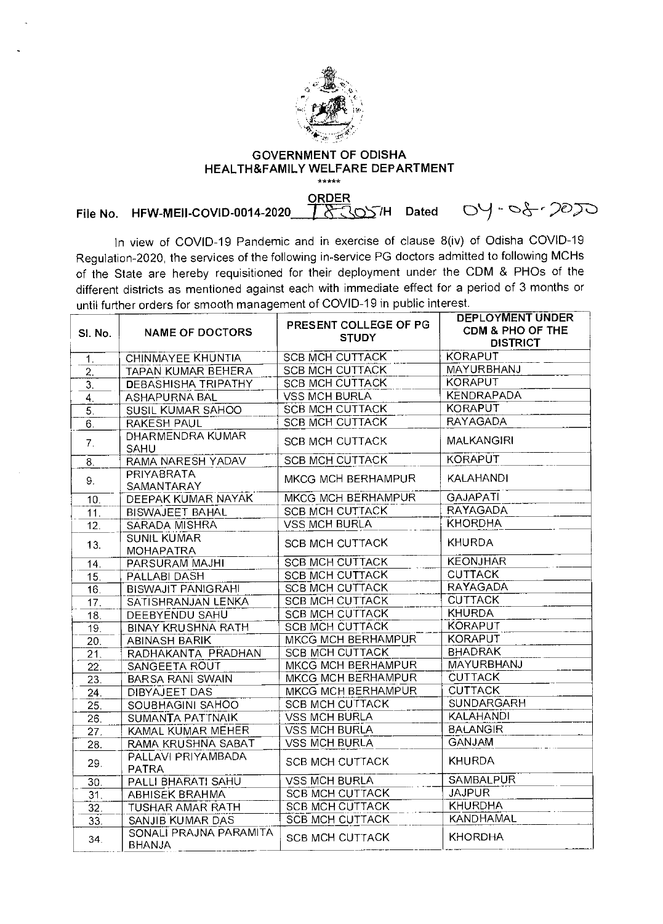

## **GOVERNMENT OF ODISHA HEALTH&FAMILY WELFARE DEPARTMENT**  \*\*\*\*\*

**ORDER**<br>T& SOSTH Dated **File No. HFW-MEII-COVID-0014-2020 T&COSTH Dated OY-08-2020** 

In view of COVID-19 Pandemic and in exercise of clause 8(iv) of Odisha COVID-19 Regulation-2020, the services of the following in-service PG doctors admitted to following MCHs of the State are hereby requisitioned for their deployment under the CDM & PHOs of the different districts as mentioned against each with immediate effect for a period of 3 months or until further orders for smooth management of COVID-19 in public interest.

| SI. No.           | <b>NAME OF DOCTORS</b>                  | PRESENT COLLEGE OF PG<br><b>STUDY</b> | DEPLOYMENT UNDER<br>CDM & PHO OF THE<br><b>DISTRICT</b> |
|-------------------|-----------------------------------------|---------------------------------------|---------------------------------------------------------|
| 1.                | <b>CHINMAYEE KHUNTIA</b>                | <b>SCB MCH CUTTACK</b>                | <b>KORAPUT</b>                                          |
| $\overline{2}$ .  | <b>TAPAN KUMAR BEHERA</b>               | <b>SCB MCH CUTTACK</b>                | <b>MAYURBHANJ</b>                                       |
| $\overline{3}$ .  | <b>DEBASHISHA TRIPATHY</b>              | <b>SCB MCH CUTTACK</b>                | <b>KORAPUT</b>                                          |
| $\overline{4}$ .  | <b>ASHAPURNA BAL</b>                    | <b>VSS MCH BURLA</b>                  | <b>KENDRAPADA</b>                                       |
| $\overline{5}$ .  | <b>SUSIL KUMAR SAHOO</b>                | <b>SCB MCH CUTTACK</b>                | <b>KORAPUT</b>                                          |
| 6.                | <b>RAKESH PAUL</b>                      | <b>SCB MCH CUTTACK</b>                | <b>RAYAGADA</b>                                         |
| 7 <sub>1</sub>    | <b>DHARMENDRA KUMAR</b><br>SAHU         | <b>SCB MCH CUTTACK</b>                | <b>MALKANGIRI</b>                                       |
| 8.                | RAMA NARESH YADAV                       | <b>SCB MCH CUTTACK</b>                | <b>KORAPUT</b>                                          |
| 9.                | PRIYABRATA<br>SAMANTARAY                | MKCG MCH BERHAMPUR                    | <b>KALAHANDI</b>                                        |
| 10.               | DEEPAK KUMAR NAYAK                      | <b>MKCG MCH BERHAMPUR</b>             | <b>GAJAPATI</b>                                         |
| 11.               | <b>BISWAJEET BAHAL</b>                  | <b>SCB MCH CUTTACK</b>                | <b>RAYAGADA</b>                                         |
| 12.               | SARADA MISHRA                           | <b>VSS MCH BURLA</b>                  | <b>KHORDHA</b>                                          |
| 13.               | <b>SUNIL KUMAR</b><br><b>MOHAPATRA</b>  | <b>SCB MCH CUTTACK</b>                | <b>KHURDA</b>                                           |
| 14.               | PARSURAM MAJHI                          | <b>SCB MCH CUTTACK</b>                | <b>KEONJHAR</b>                                         |
| 15.               | PALLABI DASH                            | <b>SCB MCH CUTTACK</b>                | <b>CUTTACK</b>                                          |
| 16.               | <b>BISWAJIT PANIGRAHI</b>               | <b>SCB MCH CUTTACK</b>                | <b>RAYAGADA</b>                                         |
| 17.               | SATISHRANJAN LENKA                      | <b>SCB MCH CUTTACK</b>                | <b>CUTTACK</b>                                          |
| 18.               | DEEBYENDU SAHU                          | <b>SCB MCH CUTTACK</b>                | <b>KHURDA</b>                                           |
| 19.               | <b>BINAY KRUSHNA RATH</b>               | <b>SCB MCH CUTTACK</b>                | <b>KORAPUT</b>                                          |
| 20.               | <b>ABINASH BARIK</b>                    | MKCG MCH BERHAMPUR                    | <b>KORAPUT</b>                                          |
| $\overline{21}$   | RADHAKANTA PRADHAN                      | <b>SCB MCH CUTTACK</b>                | <b>BHADRAK</b>                                          |
| 22.               | SANGEETA ROUT                           | MKCG MCH BERHAMPUR                    | MAYURBHANJ                                              |
| 23.               | <b>BARSA RANI SWAIN</b>                 | <b>MKCG MCH BERHAMPUR</b>             | <b>CUTTACK</b>                                          |
| 24.               | DIBYAJEET DAS                           | MKCG MCH BERHAMPUR                    | <b>CUTTACK</b>                                          |
| $\overline{25}$ . | SOUBHAGINI SAHOO                        | <b>SCB MCH CUTTACK</b>                | SUNDARGARH                                              |
| $\overline{26}$ . | SUMANTA PATTNAIK                        | <b>VSS MCH BURLA</b>                  | <b>KALAHANDI</b>                                        |
| 27.               | KAMAL KUMAR MEHER                       | <b>VSS MCH BURLA</b>                  | <b>BALANGIR</b>                                         |
| 28.               | RAMA KRUSHNA SABAT                      | <b>VSS MCH BURLA</b>                  | <b>GANJAM</b>                                           |
| 29.               | PALLAVI PRIYAMBADA<br><b>PATRA</b>      | <b>SCB MCH CUTTACK</b>                | KHURDA                                                  |
| 30.               | PALLI BHARATI SAHU                      | <b>VSS MCH BURLA</b>                  | <b>SAMBALPUR</b>                                        |
| 31.               | <b>ABHISEK BRAHMA</b>                   | <b>SCB MCH CUTTACK</b>                | <b>JAJPUR</b>                                           |
| 32.               | TUSHAR AMAR RATH                        | <b>SCB MCH CUTTACK</b>                | <b>KHURDHA</b>                                          |
| 33.               | <b>SANJIB KUMAR DAS</b>                 | <b>SCB MCH CUTTACK</b>                | <b>KANDHAMAL</b>                                        |
| 34.               | SONALI PRAJNA PARAMITA<br><b>BHANJA</b> | <b>SCB MCH CUTTACK</b>                | <b>KHORDHA</b>                                          |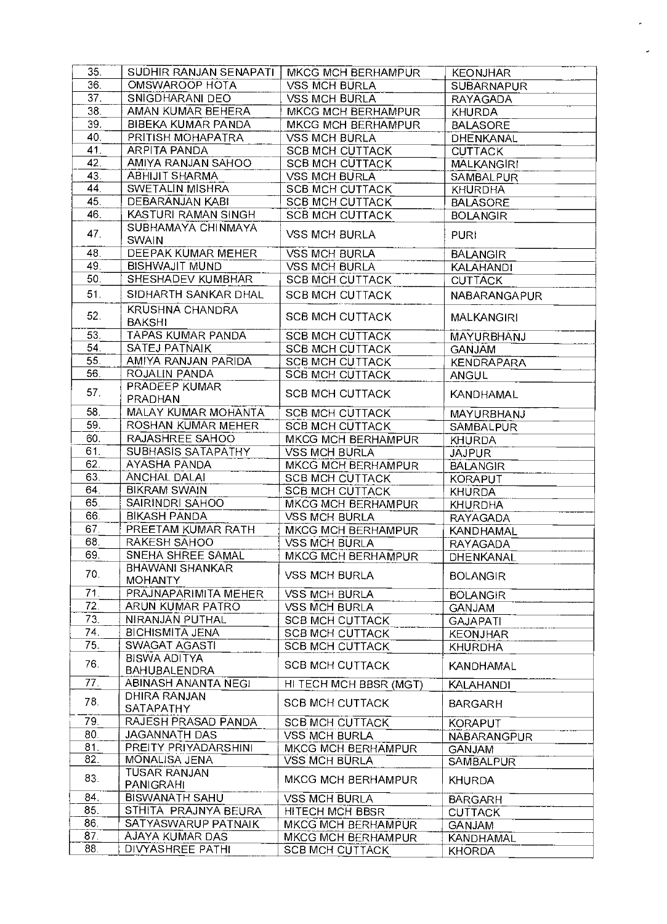| 35.             | SUDHIR RANJAN SENAPATI   | MKCG MCH BERHAMPUR        | <b>KEONJHAR</b>    |
|-----------------|--------------------------|---------------------------|--------------------|
| 36.             | OMSWAROOP HOTA           | <b>VSS MCH BURLA</b>      | <b>SUBARNAPUR</b>  |
| 37.             | SNIGDHARANI DEO          | <b>VSS MCH BURLA</b>      | <b>RAYAGADA</b>    |
| 38.             | AMAN KUMAR BEHERA        | MKCG MCH BERHAMPUR        | <b>KHURDA</b>      |
| 39 <sup>7</sup> | BIBEKA KUMAR PANDA       | MKCG MCH BERHAMPUR        | <b>BALASORE</b>    |
| 40.             | PRITISH MOHAPATRA        | <b>VSS MCH BURLA</b>      | DHENKANAL          |
| 41.             | ARPITA PANDA             | <b>SCB MCH CUTTACK</b>    | <b>CUTTACK</b>     |
| 42.             | AMIYA RANJAN SAHOO       | <b>SCB MCH CUTTACK</b>    | <b>MALKANGIRI</b>  |
| 43              | <b>ABHIJIT SHARMA</b>    | <b>VSS MCH BURLA</b>      | SAMBALPUR          |
| 44.             | SWETALIN MISHRA          | <b>SCB MCH CUTTACK</b>    | <b>KHURDHA</b>     |
| 45.             | DEBARANJAN KABI          | <b>SCB MCH CUTTACK</b>    | <b>BALASORE</b>    |
| 46.             | KASTURI RAMAN SINGH      | <b>SCB MCH CUTTACK</b>    | <b>BOLANGIR</b>    |
|                 | SUBHAMAYA CHINMAYA       |                           |                    |
| 47.             | <b>SWAIN</b>             | <b>VSS MCH BURLA</b>      | <b>PURI</b>        |
| 48.             | DEEPAK KUMAR MEHER       | <b>VSS MCH BURLA</b>      | <b>BALANGIR</b>    |
| 49.             | <b>BISHWAJIT MUND</b>    | <b>VSS MCH BURLA</b>      | <b>KALAHANDI</b>   |
| 50.             | SHESHADEV KUMBHAR        | <b>SCB MCH CUTTACK</b>    | <b>CUTTACK</b>     |
| 51.             | SIDHARTH SANKAR DHAL     | <b>SCB MCH CUTTACK</b>    | NABARANGAPUR       |
|                 |                          |                           |                    |
| 52.             | <b>KRUSHNA CHANDRA</b>   | <b>SCB MCH CUTTACK</b>    | <b>MALKANGIRI</b>  |
|                 | <b>BAKSHI</b>            |                           |                    |
| 53.             | <b>TAPAS KUMAR PANDA</b> | <b>SCB MCH CUTTACK</b>    | MAYURBHANJ         |
| 54.             | SATEJ PATNAIK            | <b>SCB MCH CUTTACK</b>    | <b>GANJAM</b>      |
| 55.             | AMIYA RANJAN PARIDA      | <b>SCB MCH CUTTACK</b>    | <b>KENDRAPARA</b>  |
| 56.             | ROJALIN PANDA            | <b>SCB MCH CUTTACK</b>    | <b>ANGUL</b>       |
| 57.             | PRADEEP KUMAR            | <b>SCB MCH CUTTACK</b>    | KANDHAMAL          |
|                 | PRADHAN                  |                           |                    |
| 58.             | MALAY KUMAR MOHANTA      | <b>SCB MCH CUTTACK</b>    | MAYURBHANJ         |
| 59.             | ROSHAN KUMAR MEHER       | <b>SCB MCH CUTTACK</b>    | SAMBALPUR          |
| 60.             | RAJASHREE SAHOO          | MKCG MCH BERHAMPUR        | <b>KHURDA</b>      |
| 61.             | SUBHASIS SATAPATHY       | <b>VSS MCH BURLA</b>      | <b>JAJPUR</b>      |
| 62.             | AYASHA PANDA             | <b>MKCG MCH BERHAMPUR</b> | <b>BALANGIR</b>    |
| 63.             | ANCHAL DALAI             | <b>SCB MCH CUTTACK</b>    | KORAPUT            |
| 64.             | <b>BIKRAM SWAIN</b>      | <b>SCB MCH CUTTACK</b>    | <b>KHURDA</b>      |
| 65.             | SAIRINDRI SAHOO          | MKCG MCH BERHAMPUR        | <b>KHURDHA</b>     |
| 66.             | <b>BIKASH PANDA</b>      | <b>VSS MCH BURLA</b>      | <b>RAYAGADA</b>    |
| 67.             | PREETAM KUMAR RATH       | <b>MKCG MCH BERHAMPUR</b> | KANDHAMAL          |
| 68.             | RAKESH SAHOO             | <b>VSS MCH BURLA</b>      | RAYAGADA           |
| 69.             | SNEHA SHREE SAMAL        | MKCG MCH BERHAMPUR        | DHENKANAL          |
| 70.             | <b>BHAWANI SHANKAR</b>   | <b>VSS MCH BURLA</b>      | <b>BOLANGIR</b>    |
|                 | <b>MOHANTY</b>           |                           |                    |
| 71.             | PRAJNAPARIMITA MEHER     | <b>VSS MCH BURLA</b>      | <b>BOLANGIR</b>    |
| 72.             | ARUN KUMAR PATRO         | <b>VSS MCH BURLA</b>      | <b>GANJAM</b>      |
| 73.             | NIRANJAN PUTHAL          | <b>SCB MCH CUTTACK</b>    | <b>GAJAPATI</b>    |
| 74.             | <b>BICHISMITA JENA</b>   | <b>SCB MCH CUTTACK</b>    | <b>KEONJHAR</b>    |
| 75.             | SWAGAT AGASTI            | <b>SCB MCH CUTTACK</b>    | <b>KHURDHA</b>     |
| 76.             | <b>BISWA ADITYA</b>      | <b>SCB MCH CUTTACK</b>    | KANDHAMAL          |
|                 | <b>BAHUBALENDRA</b>      |                           |                    |
| 77.             | ABINASH ANANTA NEGI      | HI TECH MCH BBSR (MGT)    | <b>KALAHANDI</b>   |
| 78.             | <b>DHIRA RANJAN</b>      | <b>SCB MCH CUTTACK</b>    | <b>BARGARH</b>     |
|                 | <b>SATAPATHY</b>         |                           |                    |
| 79.             | RAJESH PRASAD PANDA      | <b>SCB MCH CUTTACK</b>    | <b>KORAPUT</b>     |
| 80.             | <b>JAGANNATH DAS</b>     | <b>VSS MCH BURLA</b>      | <b>NABARANGPUR</b> |
| 81.             | PREITY PRIYADARSHINI     | MKCG MCH BERHAMPUR        | <b>GANJAM</b>      |
| 82.             | MONALISA JENA            | <b>VSS MCH BURLA</b>      | <b>SAMBALPUR</b>   |
| 83.             | <b>TUSAR RANJAN</b>      | MKCG MCH BERHAMPUR        | <b>KHURDA</b>      |
|                 | <b>PANIGRAHI</b>         |                           |                    |
| 84.             | <b>BISWANATH SAHU</b>    | <b>VSS MCH BURLA</b>      | <b>BARGARH</b>     |
| 85.             | STHITA PRAJNYA BEURA     | HITECH MCH BBSR           | <b>CUTTACK</b>     |
| 86.             | SATYASWARUP PATNAIK      | MKCG MCH BERHAMPUR        | <b>GANJAM</b>      |
| 87.             | AJAYA KUMAR DAS          | <b>MKCG MCH BERHAMPUR</b> | KANDHAMAL          |
| 88.             | DIVYASHREE PATHI         | <b>SCB MCH CUTTACK</b>    | <b>KHORDA</b>      |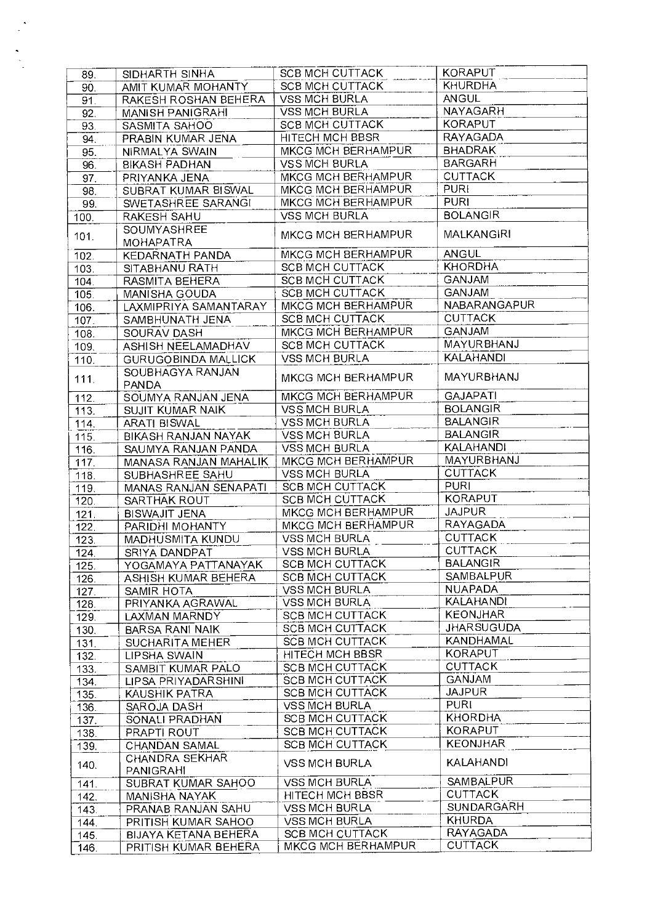| 89.                | SIDHARTH SINHA              | <b>SCB MCH CUTTACK</b> | <b>KORAPUT</b>    |
|--------------------|-----------------------------|------------------------|-------------------|
| 90.                | AMIT KUMAR MOHANTY          | SCB MCH CUTTACK        | <b>KHURDHA</b>    |
| 91.                | RAKESH ROSHAN BEHERA        | <b>VSS MCH BURLA</b>   | <b>ANGUL</b>      |
| 92.                | <b>MANISH PANIGRAHI</b>     | <b>VSS MCH BURLA</b>   | NAYAGARH          |
| 93                 | SASMITA SAHOO               | SCB MCH CUTTACK        | <b>KORAPUT</b>    |
| 94.                | PRABIN KUMAR JENA           | HITECH MCH BBSR        | <b>RAYAGADA</b>   |
| 95.                | NIRMALYA SWAIN              | MKCG MCH BERHAMPUR     | <b>BHADRAK</b>    |
|                    |                             | <b>VSS MCH BURLA</b>   | <b>BARGARH</b>    |
| 96.                | <b>BIKASH PADHAN</b>        |                        | <b>CUTTACK</b>    |
| 97                 | PRIYANKA JENA               | MKCG MCH BERHAMPUR     | <b>PURI</b>       |
| 98.                | <b>SUBRAT KUMAR BISWAL</b>  | MKCG MCH BERHAMPUR     |                   |
| 99.                | SWETASHREE SARANGI          | MKCG MCH BERHAMPUR     | <b>PURI</b>       |
| 100.               | RAKESH SAHU                 | <b>VSS MCH BURLA</b>   | <b>BOLANGIR</b>   |
| 101.               | <b>SOUMYASHREE</b>          | MKCG MCH BERHAMPUR     | MALKANGIRI        |
|                    | <b>MOHAPATRA</b>            |                        |                   |
| 102.               | KEDARNATH PANDA             | MKCG MCH BERHAMPUR     | ANGUL             |
| 103.               | SITABHANU RATH              | <b>SCB MCH CUTTACK</b> | <b>KHORDHA</b>    |
| 104.               | RASMITA BEHERA              | SCB MCH CUTTACK        | <b>GANJAM</b>     |
| 105.               | MANISHA GOUDA               | SCB MCH CUTTACK        | GANJAM            |
| 106.               | LAXMIPRIYA SAMANTARAY       | MKCG MCH BERHAMPUR     | NABARANGAPUR      |
| 107.               | SAMBHUNATH JENA             | SCB MCH CUTTACK        | <b>CUTTACK</b>    |
| 108.               | SOURAV DASH                 | MKCG MCH BERHAMPUR     | GANJAM            |
|                    | ASHISH NEELAMADHAV          | <b>SCB MCH CUTTACK</b> | MAYURBHANJ        |
| 109.               |                             | <b>VSS MCH BURLA</b>   | <b>KALAHANDI</b>  |
| 110.               | <b>GURUGOBINDA MALLICK</b>  |                        |                   |
| 111.               | SOUBHAGYA RANJAN            | MKCG MCH BERHAMPUR     | MAYURBHANJ        |
|                    | <b>PANDA</b>                |                        |                   |
| 112.               | SOUMYA RANJAN JENA          | MKCG MCH BERHAMPUR     | <b>GAJAPATI</b>   |
| 113.               | <b>SUJIT KUMAR NAIK</b>     | <b>VSS MCH BURLA</b>   | <b>BOLANGIR</b>   |
| 114.               | <b>ARATI BISWAL</b>         | <b>VSS MCH BURLA</b>   | <b>BALANGIR</b>   |
| 115.               | BIKASH RANJAN NAYAK         | <b>VSS MCH BURLA</b>   | <b>BALANGIR</b>   |
| 116.               | SAUMYA RANJAN PANDA         | <b>VSS MCH BURLA</b>   | KALAHANDI         |
| 117.               | MANASA RANJAN MAHALIK       | MKCG MCH BERHAMPUR     | MAYURBHANJ        |
| 118.               | SUBHASHREE SAHU             | <b>VSS MCH BURLA</b>   | <b>CUTTACK</b>    |
| 119.               | MANAS RANJAN SENAPATI       | <b>SCB MCH CUTTACK</b> | <b>PURI</b>       |
| 120.               | SARTHAK ROUT                | <b>SCB MCH CUTTACK</b> | <b>KORAPUT</b>    |
| 121.               | BISWAJIT JENA               | MKCG MCH BERHAMPUR     | <b>JAJPUR</b>     |
| 122.               | PARIDHI MOHANTY             | MKCG MCH BERHAMPUR     | RAYAGADA          |
| 123.               | MADHUSMITA KUNDU            | <b>VSS MCH BURLA</b>   | <b>CUTTACK</b>    |
| 124.               | SRIYA DANDPAT               | <b>VSS MCH BURLA</b>   | <b>CUTTACK</b>    |
| $\overline{125}$ . | YOGAMAYA PATTANAYAK         | <b>SCB MCH CUTTACK</b> | <b>BALANGIR</b>   |
| 126.               | ASHISH KUMAR BEHERA         | <b>SCB MCH CUTTACK</b> | <b>SAMBALPUR</b>  |
| 127                | SAMIR HOTA                  | <b>VSS MCH BURLA</b>   | <b>NUAPADA</b>    |
|                    | PRIYANKA AGRAWAL            | <b>VSS MCH BURLA</b>   | <b>KALAHANDI</b>  |
| 128                |                             | <b>SCB MCH CUTTACK</b> | <b>KEONJHAR</b>   |
| 129.               | LAXMAN MARNDY               |                        | <b>JHARSUGUDA</b> |
| 130.               | <b>BARSA RANI NAIK</b>      | <b>SCB MCH CUTTACK</b> |                   |
| 131.               | <b>SUCHARITA MEHER</b>      | <b>SCB MCH CUTTACK</b> | KANDHAMAL         |
| 132.               | LIPSHA SWAIN                | HITECH MCH BBSR        | <b>KORAPUT</b>    |
| 133.               | SAMBIT KUMAR PALO           | <b>SCB MCH CUTTACK</b> | <b>CUTTACK</b>    |
| 134                | LIPSA PRIYADARSHINI         | <b>SCB MCH CUTTACK</b> | <b>GANJAM</b>     |
| 135                | KAUSHIK PATRA               | <b>SCB MCH CUTTACK</b> | <b>JAJPUR</b>     |
| 136.               | SAROJA DASH                 | <b>VSS MCH BURLA</b>   | <b>PURI</b>       |
| 137.               | SONALI PRADHAN              | SCB MCH CUTTACK        | <b>KHORDHA</b>    |
| 138                | PRAPTI ROUT                 | SCB MCH CUTTACK        | <b>KORAPUT</b>    |
| 139                | <b>CHANDAN SAMAL</b>        | <b>SCB MCH CUTTACK</b> | <b>KEONJHAR</b>   |
|                    | CHANDRA SEKHAR              |                        | KALAHANDI         |
| 140.               | <b>PANIGRAHI</b>            | <b>VSS MCH BURLA</b>   |                   |
| 141.               | <b>SUBRAT KUMAR SAHOO</b>   | <b>VSS MCH BURLA</b>   | SAMBALPUR         |
| 142.               | MANISHA NAYAK               | HITECH MCH BBSR        | <b>CUTTACK</b>    |
| 143.               | PRANAB RANJAN SAHU          | <b>VSS MCH BURLA</b>   | SUNDARGARH        |
| 144                | PRITISH KUMAR SAHOO         | <b>VSS MCH BURLA</b>   | <b>KHURDA</b>     |
| 145.               | <b>BIJAYA KETANA BEHERA</b> | <b>SCB MCH CUTTACK</b> | RAYAGADA          |
| 146.               | PRITISH KUMAR BEHERA        | MKCG MCH BERHAMPUR     | <b>CUTTACK</b>    |
|                    |                             |                        |                   |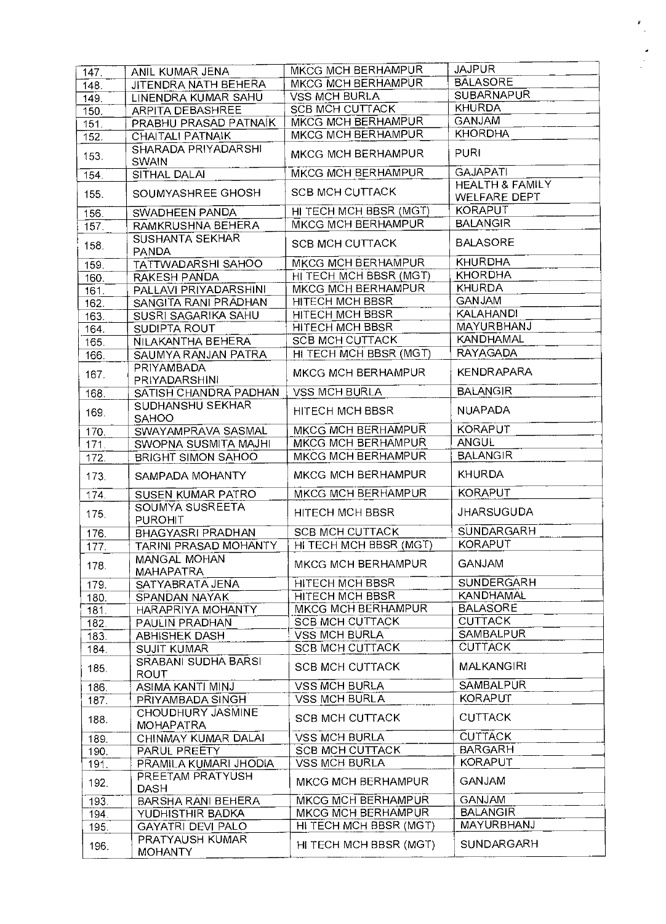| 147.               | ANIL KUMAR JENA                       | <b>MKCG MCH BERHAMPUR</b> | <b>JAJPUR</b>                                     |
|--------------------|---------------------------------------|---------------------------|---------------------------------------------------|
| 148.               | JITENDRA NATH BEHERA                  | MKCG MCH BERHAMPUR        | <b>BALASORE</b>                                   |
| 149.               | LINENDRA KUMAR SAHU                   | <b>VSS MCH BURLA</b>      | <b>SUBARNAPUR</b>                                 |
| $\overline{150}$ . | <b>ARPITA DEBASHREE</b>               | <b>SCB MCH CUTTACK</b>    | <b>KHURDA</b>                                     |
| 151.               | PRABHU PRASAD PATNAIK                 | MKCG MCH BERHAMPUR        | <b>GANJAM</b>                                     |
| $\overline{1}$ 52. | CHAITALI PATNAIK                      | MKCG MCH BERHAMPUR        | <b>KHORDHA</b>                                    |
| 153.               | SHARADA PRIYADARSHI<br><b>SWAIN</b>   | MKCG MCH BERHAMPUR        | <b>PURI</b>                                       |
| 154.               | SITHAL DALAI                          | MKCG MCH BERHAMPUR        | <b>GAJAPATI</b>                                   |
| 155.               | SOUMYASHREE GHOSH                     | <b>SCB MCH CUTTACK</b>    | <b>HEALTH &amp; FAMILY</b><br><b>WELFARE DEPT</b> |
| 156.               | SWADHEEN PANDA                        | HI TECH MCH BBSR (MGT)    | <b>KORAPUT</b>                                    |
| 157.               | RAMKRUSHNA BEHERA                     | MKCG MCH BERHAMPUR        | <b>BALANGIR</b>                                   |
| 158.               | SUSHANTA SEKHAR                       | <b>SCB MCH CUTTACK</b>    | <b>BALASORE</b>                                   |
|                    | <b>PANDA</b>                          | <b>MKCG MCH BERHAMPUR</b> | <b>KHURDHA</b>                                    |
| 159.               | TATTWADARSHI SAHOO                    | HI TECH MCH BBSR (MGT)    | <b>KHORDHA</b>                                    |
| 160.               | RAKESH PANDA<br>PALLAVI PRIYADARSHINI | MKCG MCH BERHAMPUR        | <b>KHURDA</b>                                     |
| 161.               |                                       | <b>HITECH MCH BBSR</b>    | <b>GANJAM</b>                                     |
| 162.               | SANGITA RANI PRADHAN                  |                           | <b>KALAHANDI</b>                                  |
| 163.               | SUSRI SAGARIKA SAHU                   | HITECH MCH BBSR           | MAYURBHANJ                                        |
| 164.               | SUDIPTA ROUT                          | <b>HITECH MCH BBSR</b>    | <b>KANDHAMAL</b>                                  |
| 165.               | NILAKANTHA BEHERA                     | <b>SCB MCH CUTTACK</b>    |                                                   |
| 166.               | SAUMYA RANJAN PATRA                   | HI TECH MCH BBSR (MGT)    | <b>RAYAGADA</b>                                   |
| 167.               | PRIYAMBADA<br>PRIYADARSHINI           | MKCG MCH BERHAMPUR        | <b>KENDRAPARA</b>                                 |
| 168.               | SATISH CHANDRA PADHAN                 | <b>VSS MCH BURLA</b>      | <b>BALANGIR</b>                                   |
| 169.               | SUDHANSHU SEKHAR<br><b>SAHOO</b>      | HITECH MCH BBSR           | <b>NUAPADA</b>                                    |
| 170.               | SWAYAMPRAVA SASMAL                    | MKCG MCH BERHAMPUR        | <b>KORAPUT</b>                                    |
| 171.               | SWOPNA SUSMITA MAJHI                  | MKCG MCH BERHAMPUR        | <b>ANGUL</b>                                      |
| 172.               | BRIGHT SIMON SAHOO                    | MKCG MCH BERHAMPUR        | <b>BALANGIR</b>                                   |
| 173.               | SAMPADA MOHANTY                       | MKCG MCH BERHAMPUR        | <b>KHURDA</b>                                     |
| 174.               | SUSEN KUMAR PATRO                     | MKCG MCH BERHAMPUR        | <b>KORAPUT</b>                                    |
| 175.               | SOUMYA SUSREETA<br><b>PUROHIT</b>     | HITECH MCH BBSR           | <b>JHARSUGUDA</b>                                 |
| 176.               | <b>BHAGYASRI PRADHAN</b>              | <b>SCB MCH CUTTACK</b>    | <b>SUNDARGARH</b>                                 |
| 177.               | <b>TARINI PRASAD MOHANTY</b>          | HI TECH MCH BBSR (MGT)    | <b>KORAPUT</b>                                    |
| 178.               | MANGAL MOHAN<br><b>MAHAPATRA</b>      | MKCG MCH BERHAMPUR        | <b>GANJAM</b>                                     |
| 179.               | SATYABRATA JENA                       | HITECH MCH BBSR           | <b>SUNDERGARH</b>                                 |
| 180.               | SPANDAN NAYAK                         | <b>HITECH MCH BBSR</b>    | <b>KANDHAMAL</b>                                  |
| 181.               | <b>HARAPRIYA MOHANTY</b>              | <b>MKCG MCH BERHAMPUR</b> | <b>BALASORE</b>                                   |
| 182.               | PAULIN PRADHAN                        | <b>SCB MCH CUTTACK</b>    | <b>CUTTACK</b>                                    |
| 183.               | <b>ABHISHEK DASH</b>                  | <b>VSS MCH BURLA</b>      | SAMBALPUR                                         |
| 184.               | <b>SUJIT KUMAR</b>                    | <b>SCB MCH CUTTACK</b>    | <b>CUTTACK</b>                                    |
| 185.               | SRABANI SUDHA BARSI                   | <b>SCB MCH CUTTACK</b>    | <b>MALKANGIRI</b>                                 |
|                    | <b>ROUT</b><br>ASIMA KANTI MINJ       | <b>VSS MCH BURLA</b>      | <b>SAMBALPUR</b>                                  |
| 186.               | PRIYAMBADA SINGH                      | <b>VSS MCH BURLA</b>      | <b>KORAPUT</b>                                    |
| 187                |                                       |                           |                                                   |
| 188.               | CHOUDHURY JASMINE<br><b>MOHAPATRA</b> | <b>SCB MCH CUTTACK</b>    | <b>CUTTACK</b>                                    |
| 189.               | CHINMAY KUMAR DALAI                   | <b>VSS MCH BURLA</b>      | <b>CUTTACK</b>                                    |
| 190.               | <b>PARUL PREETY</b>                   | <b>SCB MCH CUTTACK</b>    | <b>BARGARH</b>                                    |
| 191.               | PRAMILA KUMARI JHODIA                 | <b>VSS MCH BURLA</b>      | <b>KORAPUT</b>                                    |
| 192.               | PREETAM PRATYUSH<br><b>DASH</b>       | <b>MKCG MCH BERHAMPUR</b> | <b>GANJAM</b>                                     |
| 193                | <b>BARSHA RANI BEHERA</b>             | MKCG MCH BERHAMPUR        | <b>GANJAM</b>                                     |
| 194                | YUDHISTHIR BADKA                      | <b>MKCG MCH BERHAMPUR</b> | <b>BALANGIR</b>                                   |
| 195.               | <b>GAYATRI DEVI PALO</b>              | HI TECH MCH BBSR (MGT)    | <b>MAYURBHANJ</b>                                 |
| 196.               | PRATYAUSH KUMAR<br><b>MOHANTY</b>     | HI TECH MCH BBSR (MGT)    | <b>SUNDARGARH</b>                                 |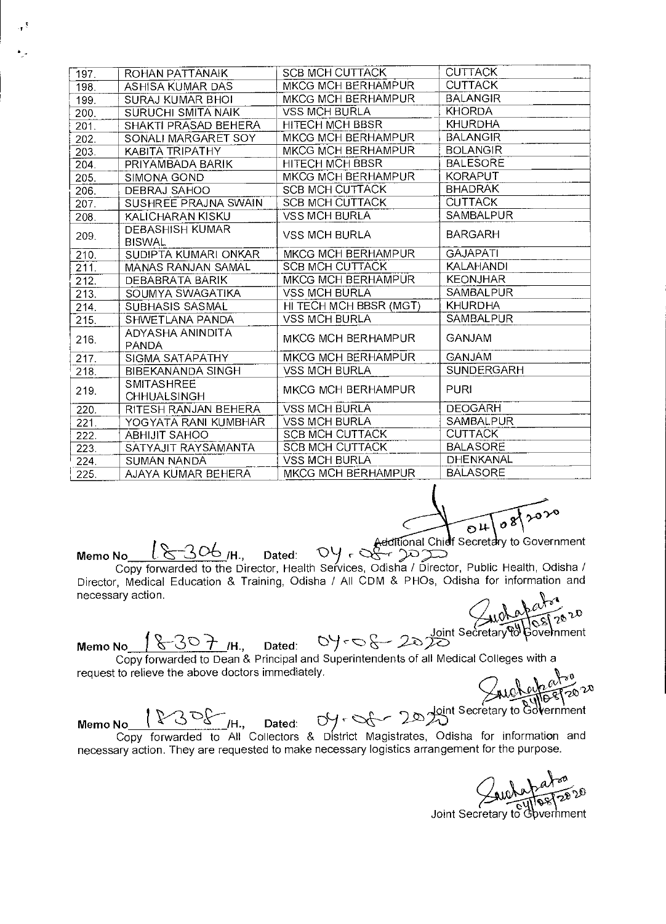| 197. | ROHAN PATTANAIK                         | <b>SCB MCH CUTTACK</b> | <b>CUTTACK</b>   |
|------|-----------------------------------------|------------------------|------------------|
| 198. | ASHISA KUMAR DAS                        | MKCG MCH BERHAMPUR     | <b>CUTTACK</b>   |
| 199. | <b>SURAJ KUMAR BHOI</b>                 | MKCG MCH BERHAMPUR     | <b>BALANGIR</b>  |
| 200. | <b>SURUCHI SMITA NAIK</b>               | <b>VSS MCH BURLA</b>   | <b>KHORDA</b>    |
| 201. | SHAKTI PRASAD BEHERA                    | <b>HITECH MCH BBSR</b> | <b>KHURDHA</b>   |
| 202. | SONALI MARGARET SOY                     | MKCG MCH BERHAMPUR     | <b>BALANGIR</b>  |
| 203. | KABITA TRIPATHY                         | MKCG MCH BERHAMPUR     | <b>BOLANGIR</b>  |
| 204. | PRIYAMBADA BARIK                        | HITECH MCH BBSR        | <b>BALESORE</b>  |
| 205. | SIMONA GOND                             | MKCG MCH BERHAMPUR     | <b>KORAPUT</b>   |
| 206. | DEBRAJ SAHOO                            | <b>SCB MCH CUTTACK</b> | <b>BHADRAK</b>   |
| 207. | SUSHREE PRAJNA SWAIN                    | <b>SCB MCH CUTTACK</b> | <b>CUTTACK</b>   |
| 208. | KALICHARAN KISKU                        | <b>VSS MCH BURLA</b>   | SAMBALPUR        |
| 209. | <b>DEBASHISH KUMAR</b><br><b>BISWAL</b> | VSS MCH BURLA          | <b>BARGARH</b>   |
| 210. | SUDIPTA KUMARI ONKAR                    | MKCG MCH BERHAMPUR     | <b>GAJAPATI</b>  |
| 211. | MANAS RANJAN SAMAL                      | SCB MCH CUTTACK        | <b>KALAHANDI</b> |
| 212. | DEBABRATA BARIK                         | MKCG MCH BERHAMPUR     | <b>KEONJHAR</b>  |
| 213. | SOUMYA SWAGATIKA                        | <b>VSS MCH BURLA</b>   | <b>SAMBALPUR</b> |
| 214. | <b>SUBHASIS SASMAL</b>                  | HI TECH MCH BBSR (MGT) | <b>KHURDHA</b>   |
| 215. | SHWETLANA PANDA                         | <b>VSS MCH BURLA</b>   | SAMBALPUR        |
| 216. | ADYASHA ANINDITA<br><b>PANDA</b>        | MKCG MCH BERHAMPUR     | <b>GANJAM</b>    |
| 217. | SIGMA SATAPATHY                         | MKCG MCH BERHAMPUR     | <b>GANJAM</b>    |
| 218. | BIBEKANANDA SINGH                       | <b>VSS MCH BURLA</b>   | SUNDERGARH       |
| 219. | <b>SMITASHREE</b><br>CHHUALSINGH        | MKCG MCH BERHAMPUR     | <b>PURI</b>      |
| 220. | RITESH RANJAN BEHERA                    | <b>VSS MCH BURLA</b>   | <b>DEOGARH</b>   |
| 221. | YOGYATA RANI KUMBHAR                    | <b>VSS MCH BURLA</b>   | SAMBALPUR        |
| 222. | <b>ABHIJIT SAHOO</b>                    | <b>SCB MCH CUTTACK</b> | <b>CUTTACK</b>   |
| 223. | SATYAJIT RAYSAMANTA                     | <b>SCB MCH CUTTACK</b> | <b>BALASORE</b>  |
| 224. | SUMAN NANDA                             | <b>VSS MCH BURLA</b>   | <b>DHENKANAL</b> |
| 225. | AJAYA KUMAR BEHERA                      | MKCG MCH BERHAMPUR     | <b>BALASORE</b>  |

 $\sqrt{20}$  $\sqrt{8}$  $04$ 

Additional Chief Secretary to Government<br>Memo No l 8 306 /H., Dated: 0y - 8 70 pm

 $\frac{18-306}{14}$  Mean Dated:  $\frac{18}{14}$  Copy forwarded to the Director, Health Services, Odisha / Director, Public Health, Odisha / Director, Medical Education & Training, Odisha / All CDM & PHOs, Odisha for information and necessary action.

 $\omega_{\mathbb{Z}_{n}}$ ©≥\້<br>overnment

Memo No  $\sqrt{8-30}$  /H., Dated:  $0$  /  $\sim$   $8-20$   $\frac{\text{Joint Secretary of the image}}{20}$ Copy forwarded to Dean & Principal and Superintendents of all Medical Colleges with a request to relieve the above doctors immediately.

**AUCALLET20**<sup>2</sup><br>int Secretary to Government

Memo No the Secretary to Government<br>Copy forwarded to All Collectors & District Magistrates, Odisha for information and necessary action. They are requested to make necessary logistics arrangement for the purpose.

za<br>2020

Joint Secretary to Government